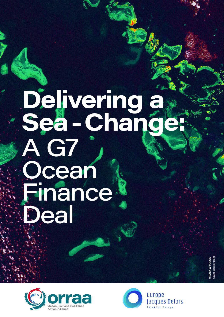# **Delivering a Sea-Change:** A G7 Ocean **Finance** Deal

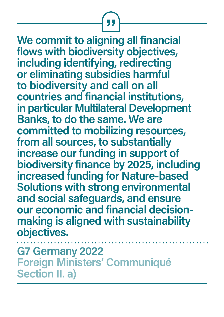**We commit to aligning all financial flows with biodiversity objectives, including identifying, redirecting or eliminating subsidies harmful to biodiversity and call on all countries and financial institutions, in particular Multilateral Development Banks, to do the same. We are committed to mobilizing resources, from all sources, to substantially increase our funding in support of [biodiversity finance by 2025, including](https://www.auswaertiges-amt.de/en/newsroom/news/-/2531266)  increased funding for Nature-based Solutions with strong environmental and social safeguards, and ensure our economic and financial decisionmaking is aligned with sustainability objectives.**

**G7 Germany 2022 Foreign Ministers' Communiqué Section II. a)**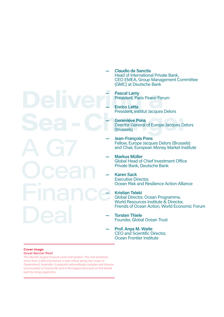- **Claudio de Sanctis** Head of International Private Bank, CEO EMEA, Group Management Committee (GMC) at Deutsche Bank
- Pascal Lamy<br>President, Paris Peace Forum<br>President Institut Jacques Del **Pascal Lamy** President, Paris Peace Forum

**—**

**—**

**—**

**—**

**—**

**—**

- **Enrico Letta**  President, Institut Jacques Delors
- Fresident, Institut Jacques Delois<br> **Seneviéve Pons**<br>
Director General of Europe Jacques De<br>
(Brussels) **Geneviéve Pons**  Director General of Europe Jacques Delors (Brussels) **—**
	- **Jean-François Pons**  Fellow, Europe Jacques Delors (Brussels) and Chair, European Money Market Institute **—**
	- **Markus Müller**  Global Head of Chief Investment Office Private Bank, Deutsche Bank **—**
		- **Karen Sack** Executive Director, Ocean Risk and Resilience Action Alliance
- Finance<sup>x</sup> **Kristian Teleki** Global Director, Ocean Programme, World Resources Institute & Director, Friends of Ocean Action, World Economic Forum
	- **Torsten Thiele** Founder, Global Ocean Trust
	- **Prof. Anya M. Waite** CEO and Scientific Director, Ocean Frontier Institute **—**

#### **Cover image Great Barrier Reef**

The Worlds largest tropical coral reef system. The reef stretches more than 2,000 kilometres (1,240 miles) along the coast of Queensland, Australia. It supports astoundingly complex and diverse communities of marine life and is the largest structure on the planet built by living organisms.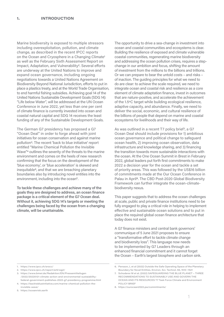Marine biodiversity is exposed to multiple stressors including overexploitation, pollution, and climate change, as described in the recent IPCC reports on the Ocean and Cryosphere in a Changing Climate1 as well as the February Sixth Assessment Report on Impact, Adaptation, and Vulnerability<sup>2</sup>. Several efforts are underway at the United Nations to improve and expand ocean governance, including ongoing negotiations towards a United Nations Agreement on Biodiversity Beyond National Jurisdiction, efforts to put in place a plastics treaty, and at the World Trade Organisation, to end harmful fishing subsidies. Achieving goal 14 of the United Nations Sustainable Development Goals (SDG 14): "Life below Water", will be addressed at the UN Ocean Conference in June 2022, yet less than one per cent of climate finance is currently invested into ocean and coastal natural capital and SDG 14 receives the least funding of any of the Sustainable Development Goals.

The German G7 presidency has proposed a G7 "Ocean Deal" in order to forge ahead with joint initiatives for ocean conservation and against marine pollution3. The recent 'back to blue initiative' report entitled "Marine Chemical Pollution the Invisible Wave"4 outlines the severity of the threats to the marine environment and comes on the heels of new research confirming that the focus on the development of the 'blue economy', or 'blue acceleration' is skewed and inequitable5, and that we are breaching planetary boundaries also by introducing novel entities into the environment, including into the ocean<sup>6</sup>.

**To tackle these challenges and achieve many of the goals they are designed to address, an ocean finance package is a critical element of the G7 Ocean deal. Without it, achieving SDG 14's targets or meeting the challenges being faced by the ocean from a changing climate, will be unattainable.** 

The opportunity to drive a sea-change in investment into ocean and coastal communities and ecosystems is clear. Building the resilience of exposed and climate vulnerable coastal communities, regenerating marine biodiversity and addressing the ocean pollution crises, requires a stepchange in our ambition and focus, shifting the amount of investment from the millions to the billions and trillions. Or we can prepare to bear the untold costs – and risks – of inaction. The guiding principles for what we need to do are clear: to achieve the scale required, we need to integrate ocean and coastal risk and resilience as a core element of climate adaptation finance, invest in outcomes that are nature-positive, and accelerate the achievement of the 1.5ºC target while building ecological resilience, adaptive capacity, and abundance. Finally, we need to deliver the social, economic, and cultural resilience of the billions of people that depend on marine and coastal ecosystems for livelihoods and their way of life.

As was outlined in a recent T7 policy brief7, a G7 Ocean Deal should include provisions for 1) ambitious ocean governance and political change to safeguard ocean health, 2) improving ocean observation, data infrastructure and knowledge sharing, and 3) financing the transition towards more sustainable interactions with the ocean. At the One Ocean Summit in Brest in February 2022, global leaders put forth first commitments to make 2022 a decision year for the ocean and tackle a set of priority areas. This was followed by the US\$16 billion of commitments made at the Our Ocean Conference in Palau in April8. The CBD Post-2020 Global Biodiversity Framework can further integrate the ocean-climatebiodiversity nexus.

This paper suggests that to address the ocean challenges at scale, public and private finance institutions need to be fully engaged to play a critical role in helping to implement effective and sustainable ocean solutions and to put in place the required global ocean finance architecture that today does not exist.

A G7 finance ministers and central bank governors' communique of 5 June 2021 proposes to ensure a "transformative effort to tackle climate change and biodiversity loss". This language now needs to be implemented by G7 Leaders through an enhanced financial commitment and it cannot forget the Ocean – Earth's largest biosphere and carbon sink.

<sup>1.</sup> https://www.ipcc.ch/srocc/

<sup>2.</sup> https://www.ipcc.ch/report/ar6/wg2/

<sup>3.</sup> https://www.bmwi.de/Redaktion/EN/Pressemitteilugen /2022/20220121-climate-action-and-environmental-sustaiabilityfederal-government-publishes-2022-g7-presidency-programme.html

<sup>4.</sup> https://backtoblueinitiative.com/marine-chemical-pollution-theinvisible-wave/

<sup>5.</sup> https://oceanrisk.earth

<sup>6.</sup> Persson, L et al (2022) Outside the Safe Operating Space of the Planetary Boundary for Novel Entities. Environ. Sci. Technol. 56, 1510−1521

<sup>7.</sup> Schoderer M et al. (2022) SAFEGUARDING THE BLUE PLANET – THREE RECOMMENDATIONS TO SUSTAINABLY USE AND GOVERN THE OCEAN AND ITS RESOURCES T7 Task Force Climate and Environment POLICY BRIEF

<sup>8.</sup> https://ourocean2022.pw/commitments/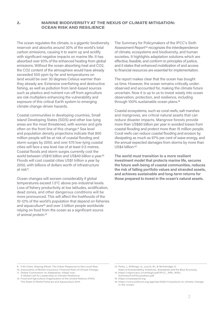**2. MARINE BIODIVERSITY AT THE NEXUS OF CLIMATE MITIGATION: OCEAN RISK AND RESILIENCE** 

The ocean regulates the climate, is a gigantic biodiversity reservoir and absorbs around 30% of the world's total carbon emissions, causing it to warm up and acidify with significant negative impacts on marine life. It has absorbed over 93% of the enhanced heating from global emissions. Without the ocean absorbing heat and CO2, the CO2 content of the atmosphere would have already exceeded 500 ppm by far and temperatures on land would be over 30 degrees Celsius warmer than they already are. Extensive overfishing and destructive fishing, as well as pollution from land-based sources such as plastics and nutrient run-off from agriculture are risk multipliers enhancing the vulnerability and exposure of this critical Earth system to emerging climate change-driven hazards.

Coastal communities in developing countries, Small Island Developing States (SIDS) and other low-lying areas are the most threatened, with women and girls often on the front line of this change.9 Sea level and population density projections indicate that 800 million people will be at risk of coastal flooding and storm surges by 2050, and over 570 low-lying coastal cities will face a sea level rise of at least 0.5 metres. Coastal floods and storm surges currently cost the world between US\$10 billion and US\$40 billion a vear.<sup>10</sup> Floods will cost coastal cities US\$1 trillion a year by 2050, with billions of dollars worth of infrastructure at risk11.

Ocean changes will worsen considerably if global temperatures exceed 1.5°C above pre-industrial levels. Loss of fishery productivity at low latitudes, acidification, dead zones, and other dangerous conditions will be more pronounced. This will affect the livelihoods of the 10-12% of the world's population that depend on fisheries and aquaculture<sup>12</sup> and over 3 billion people worldwide relying on food from the ocean as a significant source of animal protein.13

The Summary for Policymakers of the IPCC's Sixth Assessment Report<sup>14</sup> recognizes the interdependence of climate, ecosystems and biodiversity, and human societies. It highlights adaptation solutions which are effective, feasible, and conform to principles of justice, and it states that enhanced mobilization of and access to financial resources are essential for implementation.

The report makes clear that the ocean has bought us time. However, the ocean remains critically underobserved and accounted for, making the climate future uncertain. Now it is up to us to invest wisely into ocean observation, protection, and resilience, including through 100% sustainable ocean plans.15

Coastal ecosystems, such as coral reefs, salt marshes and mangroves, are critical natural assets that can reduce disaster impacts. Mangrove forests provide more than US\$80 billion per year in avoided losses from coastal flooding and protect more than 15 million people. Coral reefs can reduce coastal flooding and erosion by dissipating as much as 97% per cent of wave energy, and the annual expected damages from storms by more than US\$4 billion.16

**The world must transition to a more resilient investment model that protects marine life, secures the future well-being of coastal communities, reduces the risk of falling portfolio values and stranded assets, and achieves sustainable and long-term returns for those prepared to invest in the ocean's natural assets.** 

11. Global Commission on Adaptation. Adapt now: A Global Call for Leadership on Climate Resilience.

<sup>9.</sup> C40 Cities. Staying Afloat: The Urban Response to Sea Level Rise.

<sup>10.</sup> Association of British Insurance. Financial Risk of Climate Change.

<sup>12.</sup> Food and Agriculture Organization of the United Nations (FAO). The State of World Fisheries and Aquaculture 2014.

<sup>13.</sup> Potts, J., Wilkings, A., Lynch, M., & McFatridge, S.

State of Sustainability Initiatives. Standards and the Blue Economy. 14. https://report.ipcc.ch/ar6wg2/pdf/IPCC\_AR6\_WGII\_ SummaryForPolicymakers.pdf

<sup>15.</sup> https://oceanpanel.org

<sup>16.</sup> https://www.weforum.org/agenda/2020/11/solutions-to-climate-changein-the-ocean/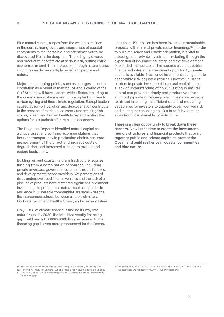Blue natural capital, ranges from the wealth contained in the corals, mangroves, and seagrasses of coastal ecosystems to the incredible, and oftentimes yet-to-be discovered life in the deep-sea. These highly diverse and productive habitats are at serious risk, putting entire economies in peril. Their protection, through nature-based solutions can deliver multiple benefits to people and nature.

Major ocean tipping points, such as changes in ocean circulation as a result of melting ice and slowing of the Gulf Stream, will have system-wide effects, including to the oceanic micro-biome and to phytoplankton, key to carbon cycling and thus climate regulation. Eutrophication caused by run-off, pollution and deoxygenation contribute to the creation of marine dead zones, undermining fish stocks, ocean, and human health today and limiting the options for a sustainable future blue bioeconomy.

The Dasgupta Report<sup>17</sup> identified natural capital as a critical asset and contains recommendations that focus on transparency in production chains, accurate measurement of the direct and indirect costs of degradation, and increased funding to protect and restore biodiversity.

Building resilient coastal natural infrastructure requires funding from a combination of sources, including private investors, governments, philanthropic funders, and development finance providers. Yet perceptions of risks, underdeveloped finance vehicles and the lack of a pipeline of products have restricted significant investment. Investments to protect blue natural capital and to build resilience in vulnerable communities are small - despite the interconnectedness between a stable climate, a biodiversity-rich and healthy Ocean, and a resilient future.

Only 3-8% of climate finance is finding its way into nature18, and by 2030, the total biodiversity financing gap could reach US\$600-800billion per annum.19 The financing gap is even more pronounced for the Ocean. Less than US\$13billion has been invested in sustainable projects, with minimal private sector financing.20 In order to build resilience and enable adaptation, it is vital to attract greater private investment, including through the expansion of insurance coverage and the development of blended finance tools. This requires also that public finance kick-starts the investment opportunity. Private capital is available if resilience investments can generate acceptable risk-adjusted returns. However, current barriers to private investment in natural capital include a lack of understanding of how investing in natural capital can provide a timely and productive return; a limited pipeline of risk-adjusted investable projects to attract financing; insufficient data and modelling capabilities for investors to quantify ocean-derived risk and inadequate enabling policies to shift investment away from unsustainable infrastructure.

**There is a clear opportunity to break down these barriers. Now is the time to create the investmentfriendly structures and financial products that bring together public and private capital to protect the Ocean and build resilience in coastal communities and blue nature.**

<sup>17.</sup> The Economics of Biodiversity: The Dasgupta Review", February 2021

<sup>18.</sup> Almond, A., Nature4Climate. What's Ahead for Nature-based Solutions? 19. Deutz, A., et al. . 2020. Financing Nature: Closing the global biodiversity financing gap.

<sup>20.</sup>Sumaila, U.R., et al. 2020. Ocean Finance: Financing the Transition to a Sustainable Ocean Economy. WRI: Washington, DC.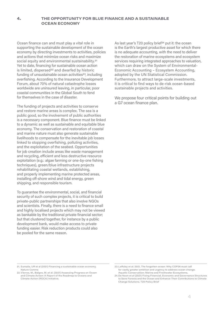# **4. THE OPPORTUNITY FOR BLUE FINANCE AND A SUSTAINABLE OCEAN ECONOMY**

Ocean finance can and must play a vital role in supporting the sustainable development of the ocean economy by directing investments to activities, policies and actions that minimize ocean risks and maximize social equity and environmental sustainability.<sup>21</sup> Yet to date, financing for sustainable ocean action is limited, dispersed<sup>22</sup> and dwarfed by historic funding of unsustainable ocean activities<sup>23</sup>, including overfishing. According to the Insurance Development Forum, about 70% of natural catastrophe losses worldwide are uninsured leaving, in particular, poor coastal communities in the Global South to fend for themselves in the case of disaster.

The funding of projects and activities to conserve and restore marine areas is complex. The sea is a public good, so the involvement of public authorities is a necessary component. Blue finance must be linked to a dynamic as well as sustainable and equitable blue economy. The conservation and restoration of coastal and marine nature must also generate sustainable livelihoods to compensate for the inevitable job losses linked to stopping overfishing, polluting activities, and the exploitation of the seabed. Opportunities for job creation include areas like waste management and recycling, efficient and less destructive resource exploitation (e.g.: algae farming or one-by-one fishing techniques), green/blue infrastructure projects rehabilitating coastal wetlands, establishing, and properly implementing marine protected areas, installing off-shore wind and tidal energy, green shipping, and responsible tourism.

To guarantee the environmental, social, and financial security of such complex projects, it is critical to build private-public partnerships that also involve NGOs and scientists. Finally, there is a need to finance small and highly localised projects which may not be viewed as bankable by the traditional private financial sector; but that clustered together, for instance by a public development bank, would make access to private funding easier. Risk reduction products could also be pooled for the same reason.

As last year's T20 policy brief<sup>24</sup> put it: the ocean is the Earth's largest productive asset for which there is no adequate accounting, with the need to deliver the restoration of marine ecosystems and ecosystem services requiring integrated approaches to valuation, which can draw on the System of Environmental-Economic Accounting – Ecosystem Accounting, adopted by the UN Statistical Commission. Furthermore, to attract large-scale investments, it is critical to find ways to de-risk ocean-based sustainable projects and activities.

We propose four critical points for building out a G7 ocean finance plan.

<sup>21.</sup> Sumaila, UR et al (2021) Financing a sustainable ocean economy. Nature Comms

<sup>22.</sup>Vierros, M., Balgos, M. et al. (2021) Assessing Progress on Ocean and Climate Action: A Report of the Roadmap to Oceans and Climate Action (ROCA) Initiative.

<sup>23.</sup>Laffoley et al. 2021, The forgotten ocean: Why COP26 must call for vastly greater ambition and urgency to address ocean change. Aquatic Conservation: Marine and Freshwater Ecosystems.

<sup>24.</sup> De Noon et al (2021) Fixing Financial, Economic and Governance Structures to Save Forests and the Ocean and Enhance Their Contributions to Climate Change Solutions. T20 Policy Brief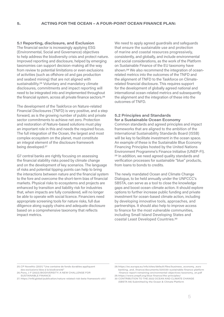# **5.1 Reporting, disclosure, and Exclusion**

The financial sector is increasingly applying ESG (Environmental, Social and Governance) objectives to help address the biodiversity crisis and protect nature. Improved reporting and disclosure, helped by emerging taxonomies can support decision-making all the way from review to potential limitations or even exclusions of activities (such as offshore oil and gas production and seabed mining) that are not aligned with sustainability.25 Voluntary and mandatory climate disclosures, commitments and impact reporting will need to be integrated into and implemented throughout the financial system, across all private finance sectors.26

The development of the Taskforce on Nature-related Financial Disclosures (TNFD) is very positive, and a step forward, as is the growing number of public and private sector commitments to achieve net zero. Protection and restoration of Nature-based solutions must play an important role in this and needs the required focus. The full integration of the Ocean, the largest and most complex ecosystem on the planet, must constitute an integral element of the disclosure framework being developed.27

G7 central banks are rightly focusing on assessing the financial stability risks posed by climate change and on the development of key scenarios. The language of risks and potential tipping points can help to bring the interactions between nature and the financial system to the fore and overcome the short-term bias of financial markets. Physical risks to ecosystems and projects are enhanced by transition and liability risk for industries that, when impacts are fully considered, will no longer be able to operate with social licence. Financiers need appropriate screening tools for nature risks, full due diligence along supply chains and adequate disclosure based on a comprehensive taxonomy that reflects impact metrics.

We need to apply agreed guardrails and safeguards that ensure the sustainable use and protection of marine and coastal resources progressively, consistently, and globally, and include environmental and social considerations, as the work of the Platform on Sustainable Finance of the EU taxonomy have shown.28 We also recommend the integration of oceanrelated metrics into the outcomes of the TNFD and the alignment of TNFD to the Taskforce on Climaterelated financial disclosure. This requires support for the development of globally agreed national and international ocean-related metrics and subsequently the alignment and the integration of these into the outcomes of TNFD.

# **5.2 Principles and Standards for a Sustainable Ocean Economy**

Common standards and agreed principles and impact frameworks that are aligned to the ambition of the International Sustainability Standards Board (ISSB) will be key to facilitate investment in the ocean space. An example of these is the Sustainable Blue Economy Financing Principles hosted by the United Nations Environment Programme's Finance Initiative (UNEP-FI). 29 In addition, we need agreed quality standards and verification processes for sustainable "blue" products, from loans to bonds to credits.

The newly mandated Ocean and Climate Change Dialogue, to be held annually under the UNFCCC's SBSTA, can serve as a tool to close the knowledge gaps and boost ocean-climate action. It should explore options to further increase public funding and private investment for ocean-based climate action, including by developing innovative tools, approaches, and partnerships. It should also help to improve access to finance for the most vulnerable communities, including Small Island Developing States and coastal Least Developed Countries.30

<sup>25.</sup>CP Novethic (2021) "Une centaine de fonds durables appliquent des exclusions liées à la biodiversité

<sup>26.</sup>Pons, J-F (2022) BIODIVERSITY: A NEW CHALLENGE FOR SUSTAINABLE FINANCE

<sup>27.</sup> https://tnfd.global/publication/nature-related-risk-beta-framework-v01/

<sup>28.</sup>https://ec.europa.eu/info/sites/default/files/business\_economy\_euro banking\_and\_finance/documents/220330-sustainable-finance-platform -finance-report-remaining-environmental-objectives-taxonomy\_en.pdf

<sup>29.</sup>https://www.unepfi.org/blue-finance/the-principles/ 30 CONTRIBUTION TO THE 2022 OCEAN AND CLIMATE CHANGE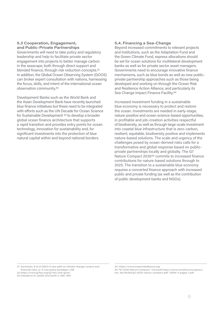### **5.3 Cooperation, Engagement, and Public-Private Partnerships**

Governments will need to take policy and regulatory leadership and help to facilitate private sector engagement into projects to better manage carbon in the seascape, both through direct support and blended finance, through risk reduction concepts.31 In addition, the Global Ocean Observing System (GOOS) can broker expert consultation with nations, harnessing the focus, skills, and intent of the international ocean observation community.32

Development Banks such as the World Bank and the Asian Development Bank have recently launched blue finance initiatives but these need to be integrated with efforts such as the UN Decade for Ocean Science for Sustainable Development 33 to develop a broader global ocean finance architecture that supports a rapid transition and provides entry points for ocean technology, innovation for sustainability and, for significant investments into the protection of blue natural capital within and beyond national borders.

## **5.4. Financing a Sea-Change**

Beyond increased commitments to relevant projects and institutions, such as the Adaptation Fund and the Green Climate Fund, express allocations should be set for ocean solutions for multilateral development banks as well as for private sector asset managers. Governments need to encourage innovative finance mechanisms, such as blue bonds as well as new publicprivate partnership approaches such as those being developed and working on through the Ocean Risk and Resilience Action Alliance, and particularly its Sea Change Impact Finance Facility.34

Increased investment funding in a sustainable blue economy is necessary to protect and restore the ocean. Investments are needed in early-stage, nature-positive and ocean-science-based opportunities, in profitable and job-creation activities respectful of biodiversity, as well as through large-scale investment into coastal blue infrastructure that is zero-carbon, resilient, equitable, biodiversity positive and implements nature-based solutions. The scale and urgency of the challenges posed by ocean-derived risks calls for a transformative and global response based on publicprivate partnerships locally and globally. The G7 Nature Compact 2030<sup>35</sup> commits to increased finance contributions for nature-based solutions through to 2025. The transition to a sustainable blue economy requires a concerted finance approach with increased public and private funding (as well as the contribution of public development banks and NGOs).

31. Surminski, S et al (2021) A new path on climate change, oceans and financial risks, in: A new policy paradigm. LSE

32.https://www.g7fsoi.org/g7-fsoi-and-goos/

34. https://www.oceanriskalliance.org

35."G7 2030 Nature Compact," Cornwall https://www.consilium.europa.eu/ me- dia/50363/g7-2030-nature-compact-pdf- 120kb-4-pages-1.pdf

<sup>33.</sup>Claudet et al. (2020) One Earth 2, 380–384